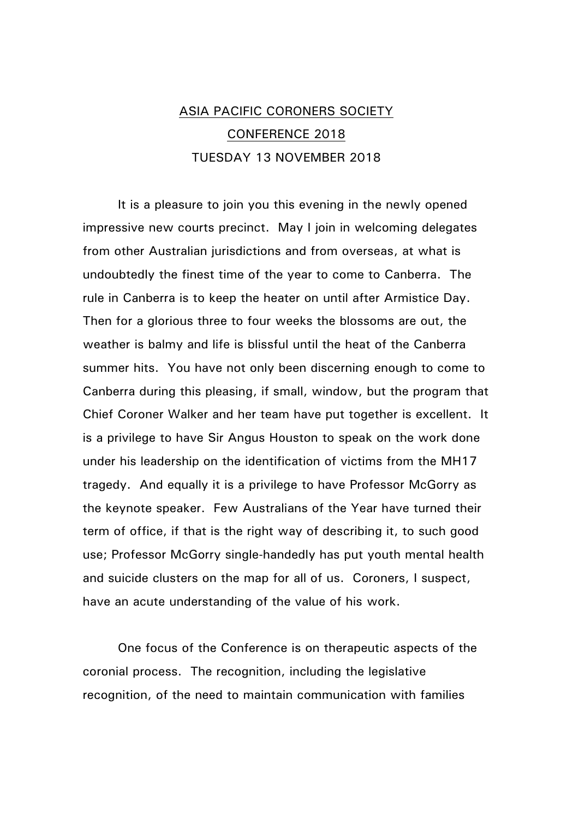## ASIA PACIFIC CORONERS SOCIETY CONFERENCE 2018 TUESDAY 13 NOVEMBER 2018

It is a pleasure to join you this evening in the newly opened impressive new courts precinct. May I join in welcoming delegates from other Australian jurisdictions and from overseas, at what is undoubtedly the finest time of the year to come to Canberra. The rule in Canberra is to keep the heater on until after Armistice Day. Then for a glorious three to four weeks the blossoms are out, the weather is balmy and life is blissful until the heat of the Canberra summer hits. You have not only been discerning enough to come to Canberra during this pleasing, if small, window, but the program that Chief Coroner Walker and her team have put together is excellent. It is a privilege to have Sir Angus Houston to speak on the work done under his leadership on the identification of victims from the MH17 tragedy. And equally it is a privilege to have Professor McGorry as the keynote speaker. Few Australians of the Year have turned their term of office, if that is the right way of describing it, to such good use; Professor McGorry single-handedly has put youth mental health and suicide clusters on the map for all of us. Coroners, I suspect, have an acute understanding of the value of his work.

One focus of the Conference is on therapeutic aspects of the coronial process. The recognition, including the legislative recognition, of the need to maintain communication with families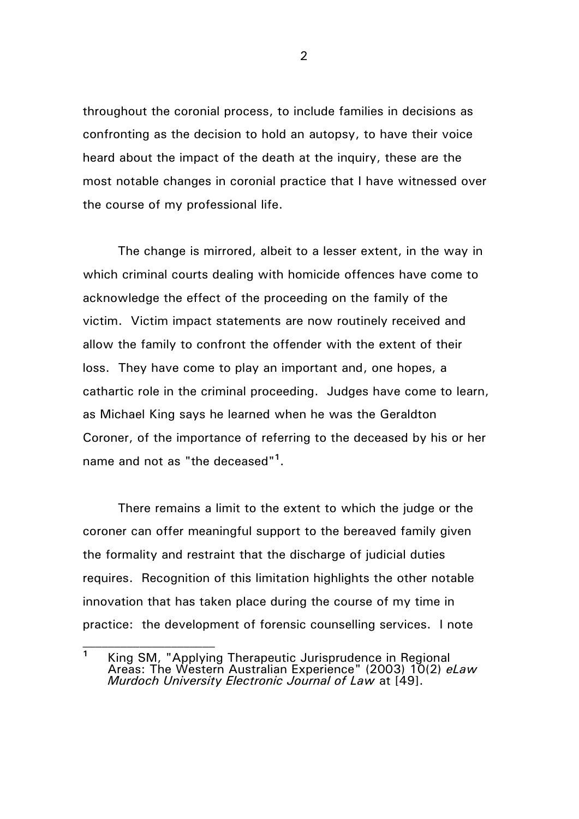throughout the coronial process, to include families in decisions as confronting as the decision to hold an autopsy, to have their voice heard about the impact of the death at the inquiry, these are the most notable changes in coronial practice that I have witnessed over the course of my professional life.

The change is mirrored, albeit to a lesser extent, in the way in which criminal courts dealing with homicide offences have come to acknowledge the effect of the proceeding on the family of the victim. Victim impact statements are now routinely received and allow the family to confront the offender with the extent of their loss. They have come to play an important and, one hopes, a cathartic role in the criminal proceeding. Judges have come to learn, as Michael King says he learned when he was the Geraldton Coroner, of the importance of referring to the deceased by his or her name and not as "the deceased"**<sup>1</sup>** .

There remains a limit to the extent to which the judge or the coroner can offer meaningful support to the bereaved family given the formality and restraint that the discharge of judicial duties requires. Recognition of this limitation highlights the other notable innovation that has taken place during the course of my time in practice: the development of forensic counselling services. I note

**<sup>1</sup>** King SM, "Applying Therapeutic Jurisprudence in Regional Areas: The Western Australian Experience" (2003) 10(2) *eLaw Murdoch University Electronic Journal of Law* at [49].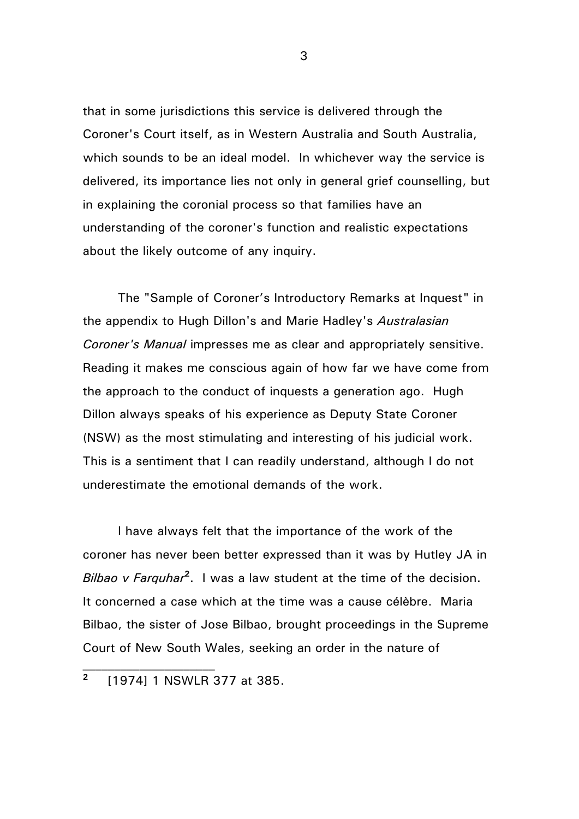that in some jurisdictions this service is delivered through the Coroner's Court itself, as in Western Australia and South Australia, which sounds to be an ideal model. In whichever way the service is delivered, its importance lies not only in general grief counselling, but in explaining the coronial process so that families have an understanding of the coroner's function and realistic expectations about the likely outcome of any inquiry.

The "Sample of Coroner's Introductory Remarks at Inquest" in the appendix to Hugh Dillon's and Marie Hadley's *Australasian Coroner's Manual* impresses me as clear and appropriately sensitive. Reading it makes me conscious again of how far we have come from the approach to the conduct of inquests a generation ago. Hugh Dillon always speaks of his experience as Deputy State Coroner (NSW) as the most stimulating and interesting of his judicial work. This is a sentiment that I can readily understand, although I do not underestimate the emotional demands of the work.

I have always felt that the importance of the work of the coroner has never been better expressed than it was by Hutley JA in *Bilbao v Farquhar***<sup>2</sup>** . I was a law student at the time of the decision. It concerned a case which at the time was a cause célèbre. Maria Bilbao, the sister of Jose Bilbao, brought proceedings in the Supreme Court of New South Wales, seeking an order in the nature of

**<sup>2</sup>** [1974] 1 NSWLR 377 at 385.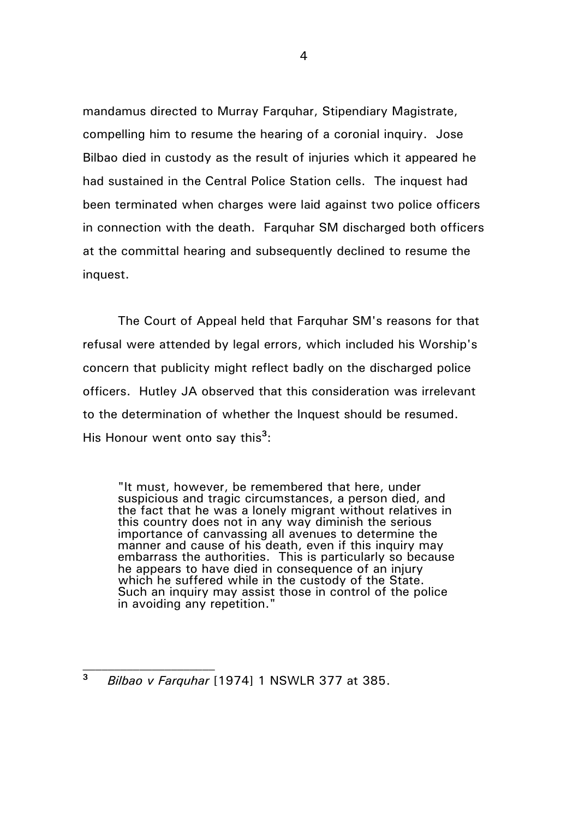mandamus directed to Murray Farquhar, Stipendiary Magistrate, compelling him to resume the hearing of a coronial inquiry. Jose Bilbao died in custody as the result of injuries which it appeared he had sustained in the Central Police Station cells. The inquest had been terminated when charges were laid against two police officers in connection with the death. Farquhar SM discharged both officers at the committal hearing and subsequently declined to resume the inquest.

The Court of Appeal held that Farquhar SM's reasons for that refusal were attended by legal errors, which included his Worship's concern that publicity might reflect badly on the discharged police officers. Hutley JA observed that this consideration was irrelevant to the determination of whether the Inquest should be resumed. His Honour went onto say this<sup>3</sup>:

"It must, however, be remembered that here, under suspicious and tragic circumstances, a person died, and the fact that he was a lonely migrant without relatives in this country does not in any way diminish the serious importance of canvassing all avenues to determine the manner and cause of his death, even if this inquiry may embarrass the authorities. This is particularly so because he appears to have died in consequence of an injury which he suffered while in the custody of the State. Such an inquiry may assist those in control of the police in avoiding any repetition."

**<sup>3</sup>** *Bilbao v Farquhar* [1974] 1 NSWLR 377 at 385.